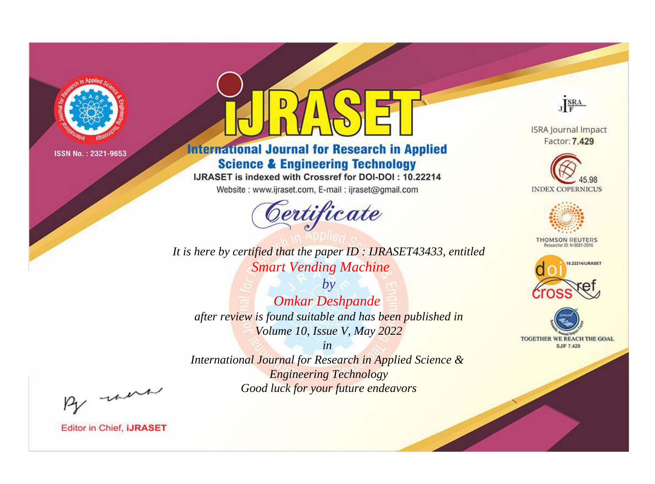

# **International Journal for Research in Applied Science & Engineering Technology**

IJRASET is indexed with Crossref for DOI-DOI: 10.22214

Website: www.ijraset.com, E-mail: ijraset@gmail.com



**ISRA Journal Impact** 

JERA

Factor: 7.429





**THOMSON REUTERS** 



TOGETHER WE REACH THE GOAL **SJIF 7.429** 

*It is here by certified that the paper ID : IJRASET43433, entitled Smart Vending Machine*

*by Omkar Deshpande after review is found suitable and has been published in Volume 10, Issue V, May 2022*

*in* 

*International Journal for Research in Applied Science & Engineering Technology Good luck for your future endeavors*

By morn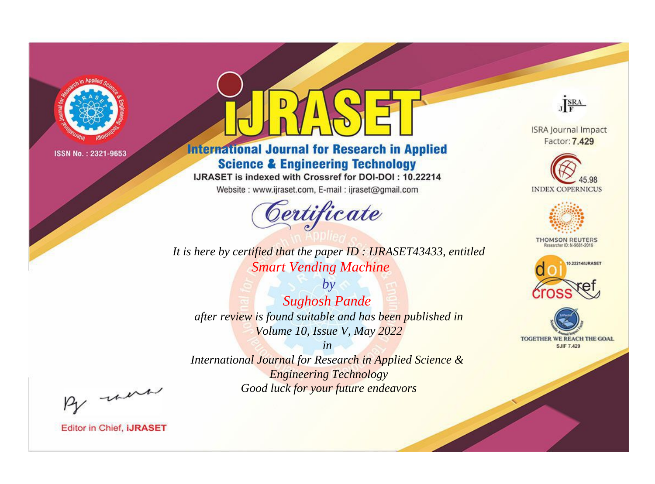

# **International Journal for Research in Applied Science & Engineering Technology**

IJRASET is indexed with Crossref for DOI-DOI: 10.22214

Website: www.ijraset.com, E-mail: ijraset@gmail.com



*It is here by certified that the paper ID : IJRASET43433, entitled Smart Vending Machine*

*by Sughosh Pande after review is found suitable and has been published in Volume 10, Issue V, May 2022*

*in International Journal for Research in Applied Science & Engineering Technology Good luck for your future endeavors*



**ISRA Journal Impact** Factor: 7.429





**THOMSON REUTERS** 





By morn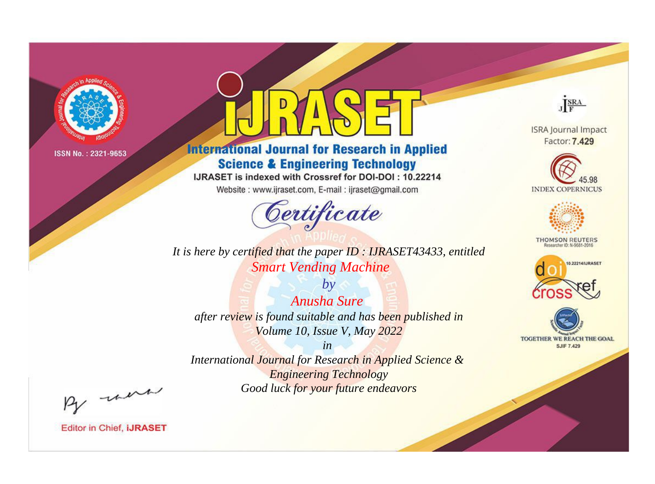

# **International Journal for Research in Applied Science & Engineering Technology**

IJRASET is indexed with Crossref for DOI-DOI: 10.22214

Website: www.ijraset.com, E-mail: ijraset@gmail.com



**ISRA Journal Impact** Factor: 7.429

JERA





**THOMSON REUTERS** 



TOGETHER WE REACH THE GOAL **SJIF 7.429** 

It is here by certified that the paper ID: IJRASET43433, entitled **Smart Vending Machine** 

 $by$ Anusha Sure after review is found suitable and has been published in Volume 10, Issue V, May 2022

 $in$ International Journal for Research in Applied Science & **Engineering Technology** Good luck for your future endeavors

By morn